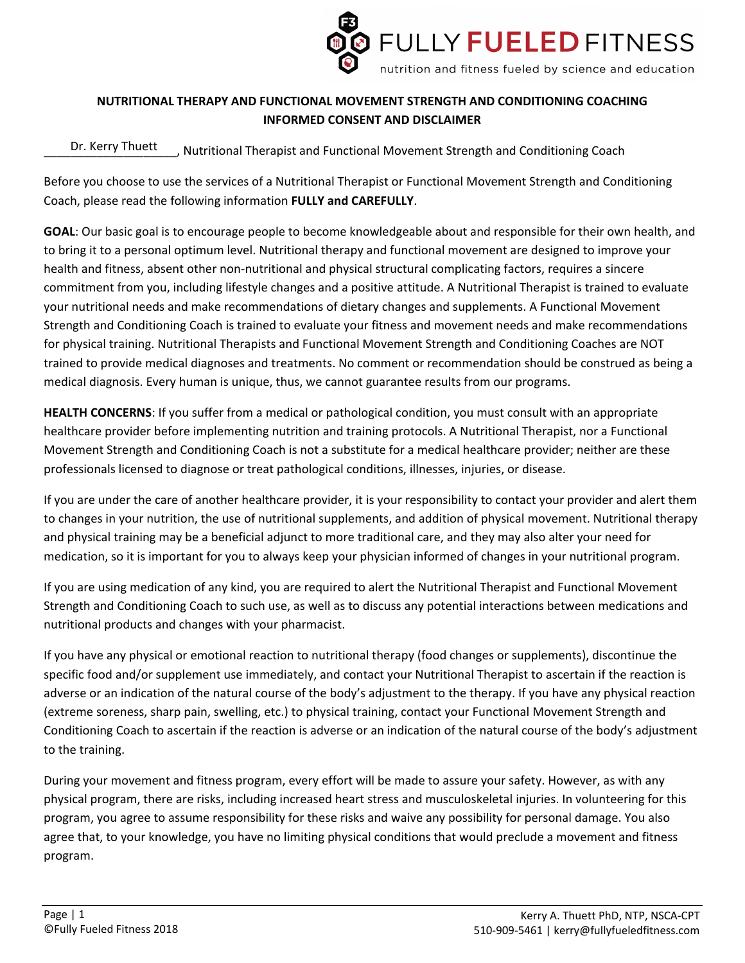

## **NUTRITIONAL THERAPY AND FUNCTIONAL MOVEMENT STRENGTH AND CONDITIONING COACHING INFORMED CONSENT AND DISCLAIMER**

\_\_\_\_\_\_\_\_\_\_\_\_\_\_\_\_\_\_\_\_, Nutritional Therapist and Functional Movement Strength and Conditioning Coach Dr. Kerry Thuett

Before you choose to use the services of a Nutritional Therapist or Functional Movement Strength and Conditioning Coach, please read the following information **FULLY and CAREFULLY**.

**GOAL**: Our basic goal is to encourage people to become knowledgeable about and responsible for their own health, and to bring it to a personal optimum level. Nutritional therapy and functional movement are designed to improve your health and fitness, absent other non-nutritional and physical structural complicating factors, requires a sincere commitment from you, including lifestyle changes and a positive attitude. A Nutritional Therapist is trained to evaluate your nutritional needs and make recommendations of dietary changes and supplements. A Functional Movement Strength and Conditioning Coach is trained to evaluate your fitness and movement needs and make recommendations for physical training. Nutritional Therapists and Functional Movement Strength and Conditioning Coaches are NOT trained to provide medical diagnoses and treatments. No comment or recommendation should be construed as being a medical diagnosis. Every human is unique, thus, we cannot guarantee results from our programs.

**HEALTH CONCERNS**: If you suffer from a medical or pathological condition, you must consult with an appropriate healthcare provider before implementing nutrition and training protocols. A Nutritional Therapist, nor a Functional Movement Strength and Conditioning Coach is not a substitute for a medical healthcare provider; neither are these professionals licensed to diagnose or treat pathological conditions, illnesses, injuries, or disease.

If you are under the care of another healthcare provider, it is your responsibility to contact your provider and alert them to changes in your nutrition, the use of nutritional supplements, and addition of physical movement. Nutritional therapy and physical training may be a beneficial adjunct to more traditional care, and they may also alter your need for medication, so it is important for you to always keep your physician informed of changes in your nutritional program.

If you are using medication of any kind, you are required to alert the Nutritional Therapist and Functional Movement Strength and Conditioning Coach to such use, as well as to discuss any potential interactions between medications and nutritional products and changes with your pharmacist.

If you have any physical or emotional reaction to nutritional therapy (food changes or supplements), discontinue the specific food and/or supplement use immediately, and contact your Nutritional Therapist to ascertain if the reaction is adverse or an indication of the natural course of the body's adjustment to the therapy. If you have any physical reaction (extreme soreness, sharp pain, swelling, etc.) to physical training, contact your Functional Movement Strength and Conditioning Coach to ascertain if the reaction is adverse or an indication of the natural course of the body's adjustment to the training.

During your movement and fitness program, every effort will be made to assure your safety. However, as with any physical program, there are risks, including increased heart stress and musculoskeletal injuries. In volunteering for this program, you agree to assume responsibility for these risks and waive any possibility for personal damage. You also agree that, to your knowledge, you have no limiting physical conditions that would preclude a movement and fitness program.